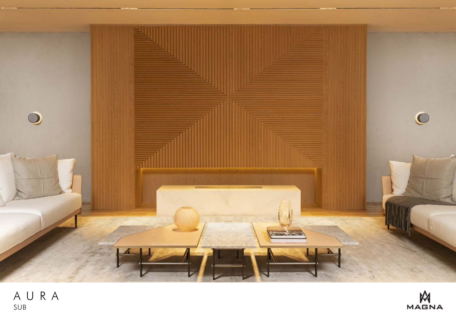